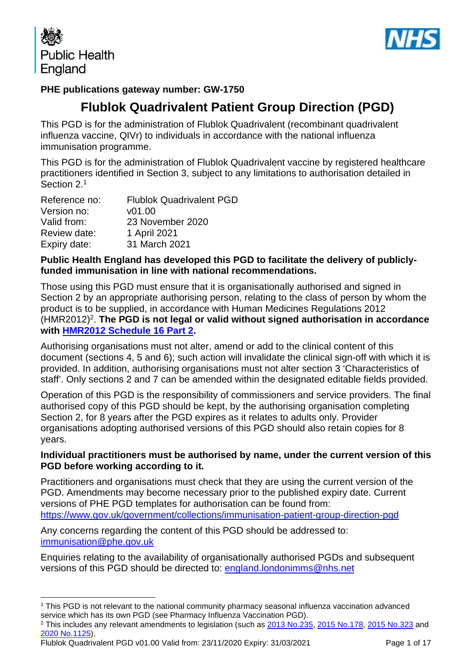



## **PHE publications gateway number: GW-1750**

# **Flublok Quadrivalent Patient Group Direction (PGD)**

This PGD is for the administration of Flublok Quadrivalent (recombinant quadrivalent influenza vaccine, QIVr) to individuals in accordance with the national influenza immunisation programme.

This PGD is for the administration of Flublok Quadrivalent vaccine by registered healthcare practitioners identified in Section 3, subject to any limitations to authorisation detailed in Section 2. 1

| Reference no: | <b>Flublok Quadrivalent PGD</b> |
|---------------|---------------------------------|
| Version no:   | v01.00                          |
| Valid from:   | 23 November 2020                |
| Review date:  | 1 April 2021                    |
| Expiry date:  | 31 March 2021                   |

### **Public Health England has developed this PGD to facilitate the delivery of publiclyfunded immunisation in line with national recommendations.**

Those using this PGD must ensure that it is organisationally authorised and signed in Section 2 by an appropriate authorising person, relating to the class of person by whom the product is to be supplied, in accordance with Human Medicines Regulations 2012 (HMR2012)2. **The PGD is not legal or valid without signed authorisation in accordance with [HMR2012 Schedule 16 Part 2.](http://www.legislation.gov.uk/uksi/2012/1916/schedule/16/part/2/made)** 

Authorising organisations must not alter, amend or add to the clinical content of this document (sections 4, 5 and 6); such action will invalidate the clinical sign-off with which it is provided. In addition, authorising organisations must not alter section 3 'Characteristics of staff'. Only sections 2 and 7 can be amended within the designated editable fields provided.

Operation of this PGD is the responsibility of commissioners and service providers. The final authorised copy of this PGD should be kept, by the authorising organisation completing Section 2, for 8 years after the PGD expires as it relates to adults only. Provider organisations adopting authorised versions of this PGD should also retain copies for 8 years.

### **Individual practitioners must be authorised by name, under the current version of this PGD before working according to it.**

Practitioners and organisations must check that they are using the current version of the PGD. Amendments may become necessary prior to the published expiry date. Current versions of PHE PGD templates for authorisation can be found from: <https://www.gov.uk/government/collections/immunisation-patient-group-direction-pgd>

Any concerns regarding the content of this PGD should be addressed to: [immunisation@phe.gov.uk](mailto:Immunisation@phe.gov.uk)

Enquiries relating to the availability of organisationally authorised PGDs and subsequent versions of this PGD should be directed to: [england.londonimms@nhs.net](mailto:england.londonimms@nhs.net)

Flublok Quadrivalent PGD v01.00 Valid from: 23/11/2020 Expiry: 31/03/2021 Page 1 of 17

<sup>1</sup> This PGD is not relevant to the national community pharmacy seasonal influenza vaccination advanced service which has its own PGD (see Pharmacy Influenza Vaccination PGD).

<sup>2</sup> This includes any relevant amendments to legislation (such as [2013 No.235,](http://www.legislation.gov.uk/uksi/2013/235/contents/made) [2015 No.178,](http://www.legislation.gov.uk/nisr/2015/178/contents/made) [2015 No.323](http://www.legislation.gov.uk/uksi/2015/323/contents/made) and [2020 No.1125\)](https://www.legislation.gov.uk/uksi/2020/1125/contents/made).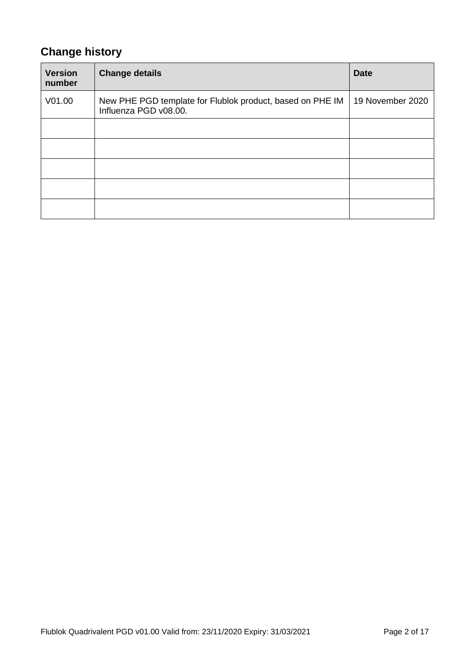# **Change history**

| <b>Version</b><br>number | <b>Change details</b>                                                              | <b>Date</b>      |
|--------------------------|------------------------------------------------------------------------------------|------------------|
| V <sub>01.00</sub>       | New PHE PGD template for Flublok product, based on PHE IM<br>Influenza PGD v08.00. | 19 November 2020 |
|                          |                                                                                    |                  |
|                          |                                                                                    |                  |
|                          |                                                                                    |                  |
|                          |                                                                                    |                  |
|                          |                                                                                    |                  |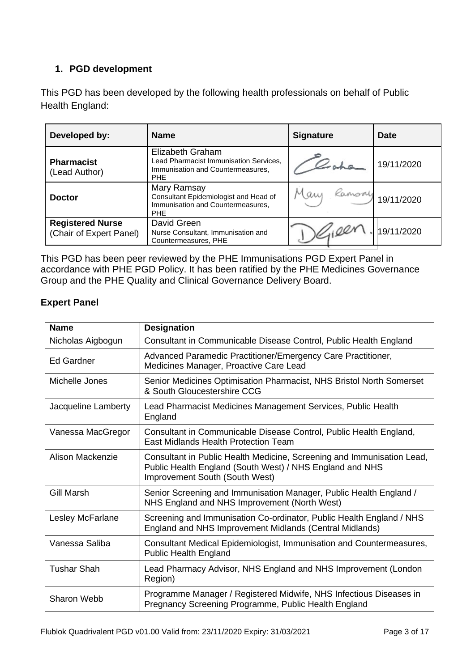# **1. PGD development**

This PGD has been developed by the following health professionals on behalf of Public Health England:

| Developed by:                                      | <b>Name</b>                                                                                                   | <b>Signature</b> | <b>Date</b> |
|----------------------------------------------------|---------------------------------------------------------------------------------------------------------------|------------------|-------------|
| <b>Pharmacist</b><br>(Lead Author)                 | Elizabeth Graham<br>Lead Pharmacist Immunisation Services,<br>Immunisation and Countermeasures,<br><b>PHE</b> |                  | 19/11/2020  |
| <b>Doctor</b>                                      | Mary Ramsay<br>Consultant Epidemiologist and Head of<br>Immunisation and Countermeasures,<br><b>PHE</b>       | Mary Ramsoy      | 19/11/2020  |
| <b>Registered Nurse</b><br>(Chair of Expert Panel) | David Green<br>Nurse Consultant, Immunisation and<br>Countermeasures, PHE                                     | 16100            | 19/11/2020  |

This PGD has been peer reviewed by the PHE Immunisations PGD Expert Panel in accordance with PHE PGD Policy. It has been ratified by the PHE Medicines Governance Group and the PHE Quality and Clinical Governance Delivery Board.

## **Expert Panel**

| <b>Name</b>         | <b>Designation</b>                                                                                                                                                   |
|---------------------|----------------------------------------------------------------------------------------------------------------------------------------------------------------------|
| Nicholas Aigbogun   | Consultant in Communicable Disease Control, Public Health England                                                                                                    |
| <b>Ed Gardner</b>   | Advanced Paramedic Practitioner/Emergency Care Practitioner,<br>Medicines Manager, Proactive Care Lead                                                               |
| Michelle Jones      | Senior Medicines Optimisation Pharmacist, NHS Bristol North Somerset<br>& South Gloucestershire CCG                                                                  |
| Jacqueline Lamberty | Lead Pharmacist Medicines Management Services, Public Health<br>England                                                                                              |
| Vanessa MacGregor   | Consultant in Communicable Disease Control, Public Health England,<br>East Midlands Health Protection Team                                                           |
| Alison Mackenzie    | Consultant in Public Health Medicine, Screening and Immunisation Lead,<br>Public Health England (South West) / NHS England and NHS<br>Improvement South (South West) |
| <b>Gill Marsh</b>   | Senior Screening and Immunisation Manager, Public Health England /<br>NHS England and NHS Improvement (North West)                                                   |
| Lesley McFarlane    | Screening and Immunisation Co-ordinator, Public Health England / NHS<br>England and NHS Improvement Midlands (Central Midlands)                                      |
| Vanessa Saliba      | Consultant Medical Epidemiologist, Immunisation and Countermeasures,<br><b>Public Health England</b>                                                                 |
| <b>Tushar Shah</b>  | Lead Pharmacy Advisor, NHS England and NHS Improvement (London<br>Region)                                                                                            |
| <b>Sharon Webb</b>  | Programme Manager / Registered Midwife, NHS Infectious Diseases in<br>Pregnancy Screening Programme, Public Health England                                           |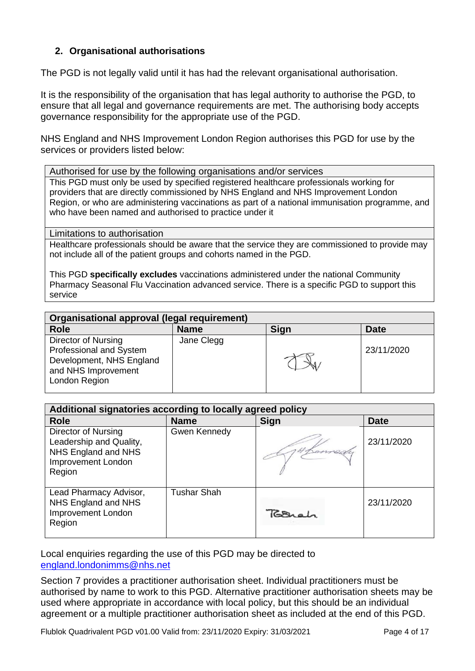### **2. Organisational authorisations**

The PGD is not legally valid until it has had the relevant organisational authorisation.

It is the responsibility of the organisation that has legal authority to authorise the PGD, to ensure that all legal and governance requirements are met. The authorising body accepts governance responsibility for the appropriate use of the PGD.

NHS England and NHS Improvement London Region authorises this PGD for use by the services or providers listed below:

Authorised for use by the following organisations and/or services

This PGD must only be used by specified registered healthcare professionals working for providers that are directly commissioned by NHS England and NHS Improvement London Region, or who are administering vaccinations as part of a national immunisation programme, and who have been named and authorised to practice under it

<span id="page-3-0"></span>Limitations to authorisation

Healthcare professionals should be aware that the service they are commissioned to provide may not include all of the patient groups and cohorts named in the PGD.

This PGD **specifically excludes** vaccinations administered under the national Community Pharmacy Seasonal Flu Vaccination advanced service. There is a specific PGD to support this service

| Organisational approval (legal requirement)                                                                        |             |      |             |
|--------------------------------------------------------------------------------------------------------------------|-------------|------|-------------|
| <b>Role</b>                                                                                                        | <b>Name</b> | Sign | <b>Date</b> |
| Director of Nursing<br>Professional and System<br>Development, NHS England<br>and NHS Improvement<br>London Region | Jane Clegg  |      | 23/11/2020  |

| Additional signatories according to locally agreed policy                                             |                    |             |             |
|-------------------------------------------------------------------------------------------------------|--------------------|-------------|-------------|
| <b>Role</b>                                                                                           | <b>Name</b>        | <b>Sign</b> | <b>Date</b> |
| Director of Nursing<br>Leadership and Quality,<br>NHS England and NHS<br>Improvement London<br>Region | Gwen Kennedy       |             | 23/11/2020  |
| Lead Pharmacy Advisor,<br>NHS England and NHS<br>Improvement London<br>Region                         | <b>Tushar Shah</b> | Torrah      | 23/11/2020  |

Local enquiries regarding the use of this PGD may be directed to [england.londonimms@nhs.net](mailto:england.londonimms@nhs.net)

Section 7 provides a practitioner authorisation sheet. Individual practitioners must be authorised by name to work to this PGD. Alternative practitioner authorisation sheets may be used where appropriate in accordance with local policy, but this should be an individual agreement or a multiple practitioner authorisation sheet as included at the end of this PGD.

Flublok Quadrivalent PGD v01.00 Valid from: 23/11/2020 Expiry: 31/03/2021 Page 4 of 17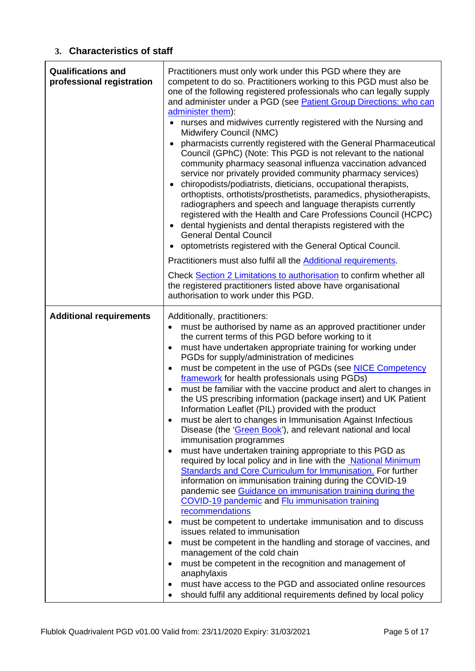### **3. Characteristics of staff**

<span id="page-4-0"></span>

| <b>Qualifications and</b><br>professional registration | Practitioners must only work under this PGD where they are<br>competent to do so. Practitioners working to this PGD must also be<br>one of the following registered professionals who can legally supply<br>and administer under a PGD (see Patient Group Directions: who can<br>administer them):<br>nurses and midwives currently registered with the Nursing and<br>Midwifery Council (NMC)<br>pharmacists currently registered with the General Pharmaceutical<br>Council (GPhC) (Note: This PGD is not relevant to the national<br>community pharmacy seasonal influenza vaccination advanced<br>service nor privately provided community pharmacy services)<br>chiropodists/podiatrists, dieticians, occupational therapists,<br>orthoptists, orthotists/prosthetists, paramedics, physiotherapists,<br>radiographers and speech and language therapists currently<br>registered with the Health and Care Professions Council (HCPC)<br>dental hygienists and dental therapists registered with the<br><b>General Dental Council</b><br>optometrists registered with the General Optical Council.<br>$\bullet$<br>Practitioners must also fulfil all the Additional requirements.<br>Check Section 2 Limitations to authorisation to confirm whether all<br>the registered practitioners listed above have organisational<br>authorisation to work under this PGD.                                                                                                                                                                                                                                                                                       |  |
|--------------------------------------------------------|----------------------------------------------------------------------------------------------------------------------------------------------------------------------------------------------------------------------------------------------------------------------------------------------------------------------------------------------------------------------------------------------------------------------------------------------------------------------------------------------------------------------------------------------------------------------------------------------------------------------------------------------------------------------------------------------------------------------------------------------------------------------------------------------------------------------------------------------------------------------------------------------------------------------------------------------------------------------------------------------------------------------------------------------------------------------------------------------------------------------------------------------------------------------------------------------------------------------------------------------------------------------------------------------------------------------------------------------------------------------------------------------------------------------------------------------------------------------------------------------------------------------------------------------------------------------------------------------------------------------------------------------------------------|--|
| <b>Additional requirements</b>                         | Additionally, practitioners:<br>must be authorised by name as an approved practitioner under<br>$\bullet$<br>the current terms of this PGD before working to it<br>must have undertaken appropriate training for working under<br>$\bullet$<br>PGDs for supply/administration of medicines<br>must be competent in the use of PGDs (see NICE Competency<br>$\bullet$<br>framework for health professionals using PGDs)<br>must be familiar with the vaccine product and alert to changes in<br>$\bullet$<br>the US prescribing information (package insert) and UK Patient<br>Information Leaflet (PIL) provided with the product<br>must be alert to changes in Immunisation Against Infectious<br>Disease (the 'Green Book'), and relevant national and local<br>immunisation programmes<br>must have undertaken training appropriate to this PGD as<br>$\bullet$<br>required by local policy and in line with the National Minimum<br>Standards and Core Curriculum for Immunisation. For further<br>information on immunisation training during the COVID-19<br>pandemic see Guidance on immunisation training during the<br>COVID-19 pandemic and Flu immunisation training<br>recommendations<br>must be competent to undertake immunisation and to discuss<br>$\bullet$<br>issues related to immunisation<br>must be competent in the handling and storage of vaccines, and<br>$\bullet$<br>management of the cold chain<br>must be competent in the recognition and management of<br>$\bullet$<br>anaphylaxis<br>must have access to the PGD and associated online resources<br>٠<br>should fulfil any additional requirements defined by local policy |  |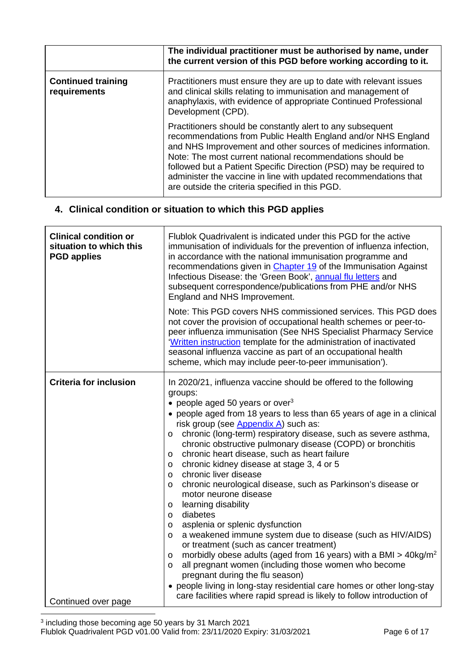|                                           | The individual practitioner must be authorised by name, under<br>the current version of this PGD before working according to it.                                                                                                                                                                                                                                                                                                                         |
|-------------------------------------------|----------------------------------------------------------------------------------------------------------------------------------------------------------------------------------------------------------------------------------------------------------------------------------------------------------------------------------------------------------------------------------------------------------------------------------------------------------|
| <b>Continued training</b><br>requirements | Practitioners must ensure they are up to date with relevant issues<br>and clinical skills relating to immunisation and management of<br>anaphylaxis, with evidence of appropriate Continued Professional<br>Development (CPD).                                                                                                                                                                                                                           |
|                                           | Practitioners should be constantly alert to any subsequent<br>recommendations from Public Health England and/or NHS England<br>and NHS Improvement and other sources of medicines information.<br>Note: The most current national recommendations should be<br>followed but a Patient Specific Direction (PSD) may be required to<br>administer the vaccine in line with updated recommendations that<br>are outside the criteria specified in this PGD. |

# **4. Clinical condition or situation to which this PGD applies**

| <b>Clinical condition or</b><br>situation to which this<br><b>PGD</b> applies | Flublok Quadrivalent is indicated under this PGD for the active<br>immunisation of individuals for the prevention of influenza infection,<br>in accordance with the national immunisation programme and<br>recommendations given in Chapter 19 of the Immunisation Against<br>Infectious Disease: the 'Green Book', annual flu letters and<br>subsequent correspondence/publications from PHE and/or NHS<br>England and NHS Improvement.                                                                                                                                                                                                                                                                                                                                                                                                                                                                                                                                                                                                                                                                                                                |
|-------------------------------------------------------------------------------|---------------------------------------------------------------------------------------------------------------------------------------------------------------------------------------------------------------------------------------------------------------------------------------------------------------------------------------------------------------------------------------------------------------------------------------------------------------------------------------------------------------------------------------------------------------------------------------------------------------------------------------------------------------------------------------------------------------------------------------------------------------------------------------------------------------------------------------------------------------------------------------------------------------------------------------------------------------------------------------------------------------------------------------------------------------------------------------------------------------------------------------------------------|
|                                                                               | Note: This PGD covers NHS commissioned services. This PGD does<br>not cover the provision of occupational health schemes or peer-to-<br>peer influenza immunisation (See NHS Specialist Pharmacy Service<br>'Written instruction template for the administration of inactivated<br>seasonal influenza vaccine as part of an occupational health<br>scheme, which may include peer-to-peer immunisation').                                                                                                                                                                                                                                                                                                                                                                                                                                                                                                                                                                                                                                                                                                                                               |
| <b>Criteria for inclusion</b>                                                 | In 2020/21, influenza vaccine should be offered to the following<br>groups:<br>• people aged 50 years or over <sup>3</sup><br>• people aged from 18 years to less than 65 years of age in a clinical<br>risk group (see Appendix A) such as:<br>chronic (long-term) respiratory disease, such as severe asthma,<br>$\circ$<br>chronic obstructive pulmonary disease (COPD) or bronchitis<br>chronic heart disease, such as heart failure<br>$\circ$<br>chronic kidney disease at stage 3, 4 or 5<br>$\circ$<br>chronic liver disease<br>$\circ$<br>chronic neurological disease, such as Parkinson's disease or<br>$\circ$<br>motor neurone disease<br>learning disability<br>$\circ$<br>diabetes<br>$\circ$<br>asplenia or splenic dysfunction<br>$\circ$<br>a weakened immune system due to disease (such as HIV/AIDS)<br>$\circ$<br>or treatment (such as cancer treatment)<br>morbidly obese adults (aged from 16 years) with a BMI > $40 \text{kg/m}^2$<br>$\circ$<br>all pregnant women (including those women who become<br>$\circ$<br>pregnant during the flu season)<br>• people living in long-stay residential care homes or other long-stay |
| Continued over page                                                           | care facilities where rapid spread is likely to follow introduction of                                                                                                                                                                                                                                                                                                                                                                                                                                                                                                                                                                                                                                                                                                                                                                                                                                                                                                                                                                                                                                                                                  |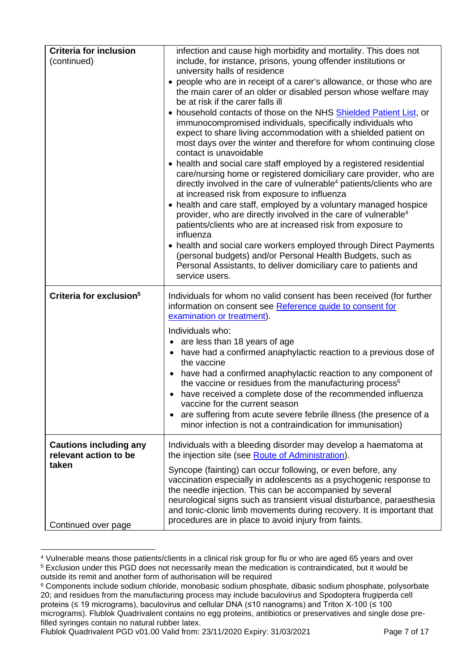<span id="page-6-0"></span>

| <b>Criteria for inclusion</b><br>(continued)           | infection and cause high morbidity and mortality. This does not<br>include, for instance, prisons, young offender institutions or<br>university halls of residence                                                                                                                                                                                                                                      |
|--------------------------------------------------------|---------------------------------------------------------------------------------------------------------------------------------------------------------------------------------------------------------------------------------------------------------------------------------------------------------------------------------------------------------------------------------------------------------|
|                                                        | • people who are in receipt of a carer's allowance, or those who are<br>the main carer of an older or disabled person whose welfare may<br>be at risk if the carer falls ill                                                                                                                                                                                                                            |
|                                                        | • household contacts of those on the NHS Shielded Patient List, or<br>immunocompromised individuals, specifically individuals who<br>expect to share living accommodation with a shielded patient on<br>most days over the winter and therefore for whom continuing close<br>contact is unavoidable                                                                                                     |
|                                                        | • health and social care staff employed by a registered residential<br>care/nursing home or registered domiciliary care provider, who are<br>directly involved in the care of vulnerable <sup>4</sup> patients/clients who are<br>at increased risk from exposure to influenza                                                                                                                          |
|                                                        | • health and care staff, employed by a voluntary managed hospice<br>provider, who are directly involved in the care of vulnerable <sup>4</sup><br>patients/clients who are at increased risk from exposure to<br>influenza                                                                                                                                                                              |
|                                                        | • health and social care workers employed through Direct Payments<br>(personal budgets) and/or Personal Health Budgets, such as<br>Personal Assistants, to deliver domiciliary care to patients and<br>service users.                                                                                                                                                                                   |
|                                                        |                                                                                                                                                                                                                                                                                                                                                                                                         |
| Criteria for exclusion <sup>5</sup>                    | Individuals for whom no valid consent has been received (for further<br>information on consent see Reference guide to consent for<br>examination or treatment).                                                                                                                                                                                                                                         |
|                                                        |                                                                                                                                                                                                                                                                                                                                                                                                         |
|                                                        | Individuals who:                                                                                                                                                                                                                                                                                                                                                                                        |
|                                                        | • are less than 18 years of age<br>• have had a confirmed anaphylactic reaction to a previous dose of<br>the vaccine                                                                                                                                                                                                                                                                                    |
|                                                        | have had a confirmed anaphylactic reaction to any component of<br>the vaccine or residues from the manufacturing process <sup>6</sup>                                                                                                                                                                                                                                                                   |
|                                                        | have received a complete dose of the recommended influenza                                                                                                                                                                                                                                                                                                                                              |
|                                                        | vaccine for the current season<br>are suffering from acute severe febrile illness (the presence of a<br>minor infection is not a contraindication for immunisation)                                                                                                                                                                                                                                     |
| <b>Cautions including any</b><br>relevant action to be | Individuals with a bleeding disorder may develop a haematoma at<br>the injection site (see Route of Administration).                                                                                                                                                                                                                                                                                    |
| taken<br>Continued over page                           | Syncope (fainting) can occur following, or even before, any<br>vaccination especially in adolescents as a psychogenic response to<br>the needle injection. This can be accompanied by several<br>neurological signs such as transient visual disturbance, paraesthesia<br>and tonic-clonic limb movements during recovery. It is important that<br>procedures are in place to avoid injury from faints. |

<sup>4</sup> Vulnerable means those patients/clients in a clinical risk group for flu or who are aged 65 years and over

<sup>5</sup> Exclusion under this PGD does not necessarily mean the medication is contraindicated, but it would be outside its remit and another form of authorisation will be required

<sup>&</sup>lt;sup>6</sup> Components include sodium chloride, monobasic sodium phosphate, dibasic sodium phosphate, polysorbate 20; and residues from the manufacturing process may include baculovirus and Spodoptera frugiperda cell proteins (≤ 19 micrograms), baculovirus and cellular DNA (≤10 nanograms) and Triton X-100 (≤ 100 micrograms). Flublok Quadrivalent contains no egg proteins, antibiotics or preservatives and single dose prefilled syringes contain no natural rubber latex.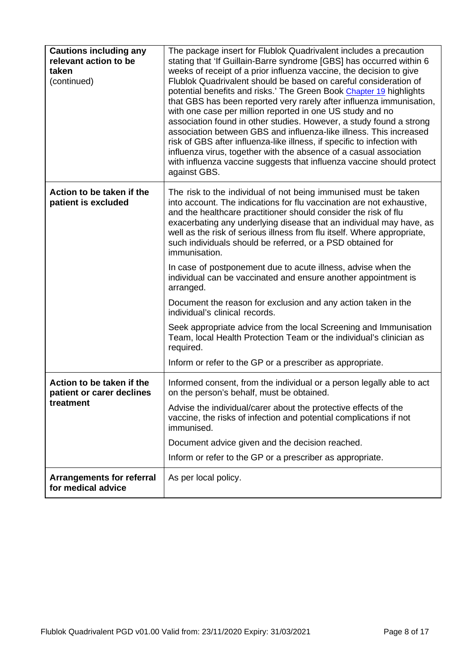| <b>Cautions including any</b><br>relevant action to be<br>taken<br>(continued) | The package insert for Flublok Quadrivalent includes a precaution<br>stating that 'If Guillain-Barre syndrome [GBS] has occurred within 6<br>weeks of receipt of a prior influenza vaccine, the decision to give<br>Flublok Quadrivalent should be based on careful consideration of<br>potential benefits and risks.' The Green Book Chapter 19 highlights<br>that GBS has been reported very rarely after influenza immunisation,<br>with one case per million reported in one US study and no<br>association found in other studies. However, a study found a strong<br>association between GBS and influenza-like illness. This increased<br>risk of GBS after influenza-like illness, if specific to infection with<br>influenza virus, together with the absence of a casual association<br>with influenza vaccine suggests that influenza vaccine should protect<br>against GBS. |
|--------------------------------------------------------------------------------|-----------------------------------------------------------------------------------------------------------------------------------------------------------------------------------------------------------------------------------------------------------------------------------------------------------------------------------------------------------------------------------------------------------------------------------------------------------------------------------------------------------------------------------------------------------------------------------------------------------------------------------------------------------------------------------------------------------------------------------------------------------------------------------------------------------------------------------------------------------------------------------------|
| Action to be taken if the<br>patient is excluded                               | The risk to the individual of not being immunised must be taken<br>into account. The indications for flu vaccination are not exhaustive,<br>and the healthcare practitioner should consider the risk of flu<br>exacerbating any underlying disease that an individual may have, as<br>well as the risk of serious illness from flu itself. Where appropriate,<br>such individuals should be referred, or a PSD obtained for<br>immunisation.                                                                                                                                                                                                                                                                                                                                                                                                                                            |
|                                                                                | In case of postponement due to acute illness, advise when the<br>individual can be vaccinated and ensure another appointment is<br>arranged.                                                                                                                                                                                                                                                                                                                                                                                                                                                                                                                                                                                                                                                                                                                                            |
|                                                                                | Document the reason for exclusion and any action taken in the<br>individual's clinical records.                                                                                                                                                                                                                                                                                                                                                                                                                                                                                                                                                                                                                                                                                                                                                                                         |
|                                                                                | Seek appropriate advice from the local Screening and Immunisation<br>Team, local Health Protection Team or the individual's clinician as<br>required.                                                                                                                                                                                                                                                                                                                                                                                                                                                                                                                                                                                                                                                                                                                                   |
|                                                                                | Inform or refer to the GP or a prescriber as appropriate.                                                                                                                                                                                                                                                                                                                                                                                                                                                                                                                                                                                                                                                                                                                                                                                                                               |
| Action to be taken if the<br>patient or carer declines                         | Informed consent, from the individual or a person legally able to act<br>on the person's behalf, must be obtained.                                                                                                                                                                                                                                                                                                                                                                                                                                                                                                                                                                                                                                                                                                                                                                      |
| treatment                                                                      | Advise the individual/carer about the protective effects of the<br>vaccine, the risks of infection and potential complications if not<br>immunised.                                                                                                                                                                                                                                                                                                                                                                                                                                                                                                                                                                                                                                                                                                                                     |
|                                                                                | Document advice given and the decision reached.                                                                                                                                                                                                                                                                                                                                                                                                                                                                                                                                                                                                                                                                                                                                                                                                                                         |
|                                                                                | Inform or refer to the GP or a prescriber as appropriate.                                                                                                                                                                                                                                                                                                                                                                                                                                                                                                                                                                                                                                                                                                                                                                                                                               |
| <b>Arrangements for referral</b><br>for medical advice                         | As per local policy.                                                                                                                                                                                                                                                                                                                                                                                                                                                                                                                                                                                                                                                                                                                                                                                                                                                                    |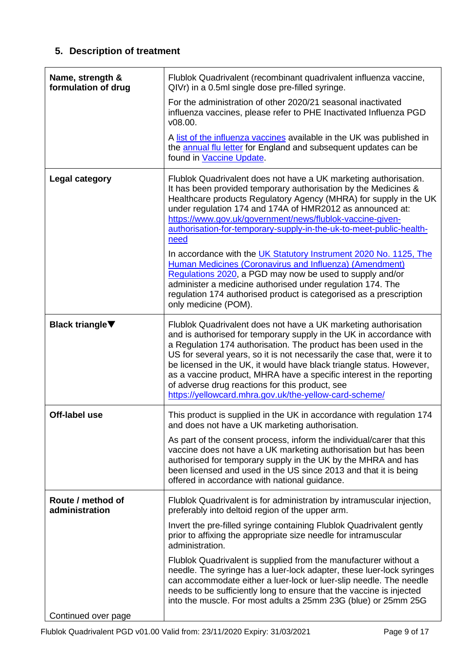# **5. Description of treatment**

<span id="page-8-0"></span>

| Name, strength &<br>formulation of drug | Flublok Quadrivalent (recombinant quadrivalent influenza vaccine,<br>QIVr) in a 0.5ml single dose pre-filled syringe.                                                                                                                                                                                                                                                                                                                                                                                                                                                                                                                                                                                                                                                     |
|-----------------------------------------|---------------------------------------------------------------------------------------------------------------------------------------------------------------------------------------------------------------------------------------------------------------------------------------------------------------------------------------------------------------------------------------------------------------------------------------------------------------------------------------------------------------------------------------------------------------------------------------------------------------------------------------------------------------------------------------------------------------------------------------------------------------------------|
|                                         | For the administration of other 2020/21 seasonal inactivated<br>influenza vaccines, please refer to PHE Inactivated Influenza PGD<br>v08.00.                                                                                                                                                                                                                                                                                                                                                                                                                                                                                                                                                                                                                              |
|                                         | A list of the influenza vaccines available in the UK was published in<br>the annual flu letter for England and subsequent updates can be<br>found in Vaccine Update.                                                                                                                                                                                                                                                                                                                                                                                                                                                                                                                                                                                                      |
| <b>Legal category</b>                   | Flublok Quadrivalent does not have a UK marketing authorisation.<br>It has been provided temporary authorisation by the Medicines &<br>Healthcare products Regulatory Agency (MHRA) for supply in the UK<br>under regulation 174 and 174A of HMR2012 as announced at:<br>https://www.gov.uk/government/news/flublok-vaccine-given-<br>authorisation-for-temporary-supply-in-the-uk-to-meet-public-health-<br>need<br>In accordance with the UK Statutory Instrument 2020 No. 1125, The<br>Human Medicines (Coronavirus and Influenza) (Amendment)<br>Regulations 2020, a PGD may now be used to supply and/or<br>administer a medicine authorised under regulation 174. The<br>regulation 174 authorised product is categorised as a prescription<br>only medicine (POM). |
| <b>Black triangle</b> ▼                 | Flublok Quadrivalent does not have a UK marketing authorisation<br>and is authorised for temporary supply in the UK in accordance with<br>a Regulation 174 authorisation. The product has been used in the<br>US for several years, so it is not necessarily the case that, were it to<br>be licensed in the UK, it would have black triangle status. However,<br>as a vaccine product, MHRA have a specific interest in the reporting<br>of adverse drug reactions for this product, see<br>https://yellowcard.mhra.gov.uk/the-yellow-card-scheme/                                                                                                                                                                                                                       |
| Off-label use                           | This product is supplied in the UK in accordance with regulation 174<br>and does not have a UK marketing authorisation.<br>As part of the consent process, inform the individual/carer that this<br>vaccine does not have a UK marketing authorisation but has been<br>authorised for temporary supply in the UK by the MHRA and has<br>been licensed and used in the US since 2013 and that it is being<br>offered in accordance with national guidance.                                                                                                                                                                                                                                                                                                                 |
| Route / method of<br>administration     | Flublok Quadrivalent is for administration by intramuscular injection,<br>preferably into deltoid region of the upper arm.                                                                                                                                                                                                                                                                                                                                                                                                                                                                                                                                                                                                                                                |
|                                         | Invert the pre-filled syringe containing Flublok Quadrivalent gently<br>prior to affixing the appropriate size needle for intramuscular<br>administration.                                                                                                                                                                                                                                                                                                                                                                                                                                                                                                                                                                                                                |
|                                         | Flublok Quadrivalent is supplied from the manufacturer without a<br>needle. The syringe has a luer-lock adapter, these luer-lock syringes<br>can accommodate either a luer-lock or luer-slip needle. The needle<br>needs to be sufficiently long to ensure that the vaccine is injected<br>into the muscle. For most adults a 25mm 23G (blue) or 25mm 25G                                                                                                                                                                                                                                                                                                                                                                                                                 |
| Continued over page                     |                                                                                                                                                                                                                                                                                                                                                                                                                                                                                                                                                                                                                                                                                                                                                                           |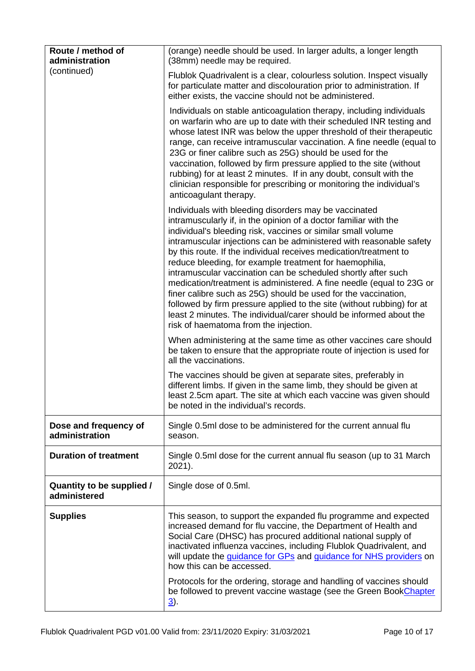| Route / method of<br>administration       | (orange) needle should be used. In larger adults, a longer length<br>(38mm) needle may be required.                                                                                                                                                                                                                                                                                                                                                                                                                                                                                                                                                                                                                                                                                                  |
|-------------------------------------------|------------------------------------------------------------------------------------------------------------------------------------------------------------------------------------------------------------------------------------------------------------------------------------------------------------------------------------------------------------------------------------------------------------------------------------------------------------------------------------------------------------------------------------------------------------------------------------------------------------------------------------------------------------------------------------------------------------------------------------------------------------------------------------------------------|
| (continued)                               | Flublok Quadrivalent is a clear, colourless solution. Inspect visually<br>for particulate matter and discolouration prior to administration. If<br>either exists, the vaccine should not be administered.                                                                                                                                                                                                                                                                                                                                                                                                                                                                                                                                                                                            |
|                                           | Individuals on stable anticoagulation therapy, including individuals<br>on warfarin who are up to date with their scheduled INR testing and<br>whose latest INR was below the upper threshold of their therapeutic<br>range, can receive intramuscular vaccination. A fine needle (equal to<br>23G or finer calibre such as 25G) should be used for the<br>vaccination, followed by firm pressure applied to the site (without<br>rubbing) for at least 2 minutes. If in any doubt, consult with the<br>clinician responsible for prescribing or monitoring the individual's<br>anticoagulant therapy.                                                                                                                                                                                               |
|                                           | Individuals with bleeding disorders may be vaccinated<br>intramuscularly if, in the opinion of a doctor familiar with the<br>individual's bleeding risk, vaccines or similar small volume<br>intramuscular injections can be administered with reasonable safety<br>by this route. If the individual receives medication/treatment to<br>reduce bleeding, for example treatment for haemophilia,<br>intramuscular vaccination can be scheduled shortly after such<br>medication/treatment is administered. A fine needle (equal to 23G or<br>finer calibre such as 25G) should be used for the vaccination,<br>followed by firm pressure applied to the site (without rubbing) for at<br>least 2 minutes. The individual/carer should be informed about the<br>risk of haematoma from the injection. |
|                                           | When administering at the same time as other vaccines care should<br>be taken to ensure that the appropriate route of injection is used for<br>all the vaccinations.                                                                                                                                                                                                                                                                                                                                                                                                                                                                                                                                                                                                                                 |
|                                           | The vaccines should be given at separate sites, preferably in<br>different limbs. If given in the same limb, they should be given at<br>least 2.5cm apart. The site at which each vaccine was given should<br>be noted in the individual's records.                                                                                                                                                                                                                                                                                                                                                                                                                                                                                                                                                  |
| Dose and frequency of<br>administration   | Single 0.5ml dose to be administered for the current annual flu<br>season.                                                                                                                                                                                                                                                                                                                                                                                                                                                                                                                                                                                                                                                                                                                           |
| <b>Duration of treatment</b>              | Single 0.5ml dose for the current annual flu season (up to 31 March<br>2021).                                                                                                                                                                                                                                                                                                                                                                                                                                                                                                                                                                                                                                                                                                                        |
| Quantity to be supplied /<br>administered | Single dose of 0.5ml.                                                                                                                                                                                                                                                                                                                                                                                                                                                                                                                                                                                                                                                                                                                                                                                |
| <b>Supplies</b>                           | This season, to support the expanded flu programme and expected<br>increased demand for flu vaccine, the Department of Health and<br>Social Care (DHSC) has procured additional national supply of<br>inactivated influenza vaccines, including Flublok Quadrivalent, and<br>will update the <i>guidance for GPs</i> and <i>guidance for NHS providers</i> on<br>how this can be accessed.                                                                                                                                                                                                                                                                                                                                                                                                           |
|                                           | Protocols for the ordering, storage and handling of vaccines should<br>be followed to prevent vaccine wastage (see the Green BookChapter<br>$\underline{3}$ ).                                                                                                                                                                                                                                                                                                                                                                                                                                                                                                                                                                                                                                       |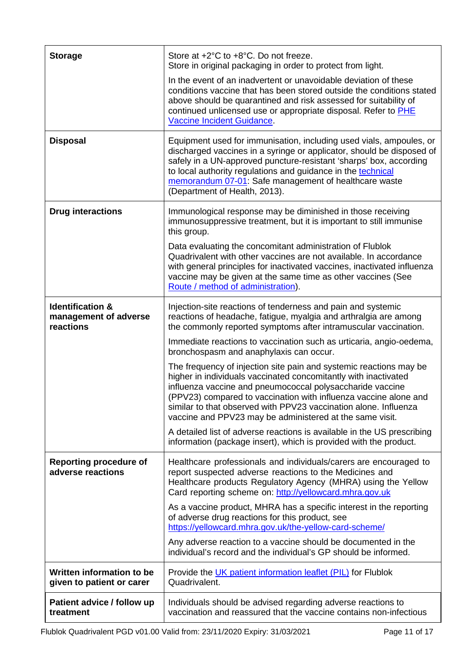| <b>Storage</b>                                                    | Store at +2°C to +8°C. Do not freeze.<br>Store in original packaging in order to protect from light.                                                                                                                                                                                                                                                                                                   |
|-------------------------------------------------------------------|--------------------------------------------------------------------------------------------------------------------------------------------------------------------------------------------------------------------------------------------------------------------------------------------------------------------------------------------------------------------------------------------------------|
|                                                                   | In the event of an inadvertent or unavoidable deviation of these<br>conditions vaccine that has been stored outside the conditions stated<br>above should be quarantined and risk assessed for suitability of<br>continued unlicensed use or appropriate disposal. Refer to PHE<br>Vaccine Incident Guidance.                                                                                          |
| <b>Disposal</b>                                                   | Equipment used for immunisation, including used vials, ampoules, or<br>discharged vaccines in a syringe or applicator, should be disposed of<br>safely in a UN-approved puncture-resistant 'sharps' box, according<br>to local authority regulations and guidance in the technical<br>memorandum 07-01: Safe management of healthcare waste<br>(Department of Health, 2013).                           |
| <b>Drug interactions</b>                                          | Immunological response may be diminished in those receiving<br>immunosuppressive treatment, but it is important to still immunise<br>this group.                                                                                                                                                                                                                                                       |
|                                                                   | Data evaluating the concomitant administration of Flublok<br>Quadrivalent with other vaccines are not available. In accordance<br>with general principles for inactivated vaccines, inactivated influenza<br>vaccine may be given at the same time as other vaccines (See<br>Route / method of administration).                                                                                        |
| <b>Identification &amp;</b><br>management of adverse<br>reactions | Injection-site reactions of tenderness and pain and systemic<br>reactions of headache, fatigue, myalgia and arthralgia are among<br>the commonly reported symptoms after intramuscular vaccination.                                                                                                                                                                                                    |
|                                                                   | Immediate reactions to vaccination such as urticaria, angio-oedema,<br>bronchospasm and anaphylaxis can occur.                                                                                                                                                                                                                                                                                         |
|                                                                   | The frequency of injection site pain and systemic reactions may be<br>higher in individuals vaccinated concomitantly with inactivated<br>influenza vaccine and pneumococcal polysaccharide vaccine<br>(PPV23) compared to vaccination with influenza vaccine alone and<br>similar to that observed with PPV23 vaccination alone. Influenza<br>vaccine and PPV23 may be administered at the same visit. |
|                                                                   | A detailed list of adverse reactions is available in the US prescribing<br>information (package insert), which is provided with the product.                                                                                                                                                                                                                                                           |
| <b>Reporting procedure of</b><br>adverse reactions                | Healthcare professionals and individuals/carers are encouraged to<br>report suspected adverse reactions to the Medicines and<br>Healthcare products Regulatory Agency (MHRA) using the Yellow<br>Card reporting scheme on: http://yellowcard.mhra.gov.uk                                                                                                                                               |
|                                                                   | As a vaccine product, MHRA has a specific interest in the reporting<br>of adverse drug reactions for this product, see<br>https://yellowcard.mhra.gov.uk/the-yellow-card-scheme/                                                                                                                                                                                                                       |
|                                                                   | Any adverse reaction to a vaccine should be documented in the<br>individual's record and the individual's GP should be informed.                                                                                                                                                                                                                                                                       |
| Written information to be<br>given to patient or carer            | Provide the UK patient information leaflet (PIL) for Flublok<br>Quadrivalent.                                                                                                                                                                                                                                                                                                                          |
| Patient advice / follow up<br>treatment                           | Individuals should be advised regarding adverse reactions to<br>vaccination and reassured that the vaccine contains non-infectious                                                                                                                                                                                                                                                                     |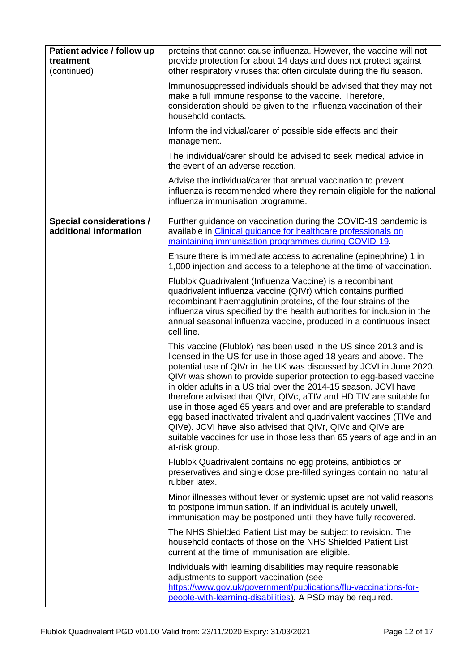| Patient advice / follow up<br>treatment<br>(continued)    | proteins that cannot cause influenza. However, the vaccine will not<br>provide protection for about 14 days and does not protect against<br>other respiratory viruses that often circulate during the flu season.                                                                                                                                                                                                                                                                                                                                                                                                                                                                                                                   |
|-----------------------------------------------------------|-------------------------------------------------------------------------------------------------------------------------------------------------------------------------------------------------------------------------------------------------------------------------------------------------------------------------------------------------------------------------------------------------------------------------------------------------------------------------------------------------------------------------------------------------------------------------------------------------------------------------------------------------------------------------------------------------------------------------------------|
|                                                           | Immunosuppressed individuals should be advised that they may not<br>make a full immune response to the vaccine. Therefore,<br>consideration should be given to the influenza vaccination of their<br>household contacts.                                                                                                                                                                                                                                                                                                                                                                                                                                                                                                            |
|                                                           | Inform the individual/carer of possible side effects and their<br>management.                                                                                                                                                                                                                                                                                                                                                                                                                                                                                                                                                                                                                                                       |
|                                                           | The individual/carer should be advised to seek medical advice in<br>the event of an adverse reaction.                                                                                                                                                                                                                                                                                                                                                                                                                                                                                                                                                                                                                               |
|                                                           | Advise the individual/carer that annual vaccination to prevent<br>influenza is recommended where they remain eligible for the national<br>influenza immunisation programme.                                                                                                                                                                                                                                                                                                                                                                                                                                                                                                                                                         |
| <b>Special considerations /</b><br>additional information | Further guidance on vaccination during the COVID-19 pandemic is<br>available in Clinical guidance for healthcare professionals on<br>maintaining immunisation programmes during COVID-19.                                                                                                                                                                                                                                                                                                                                                                                                                                                                                                                                           |
|                                                           | Ensure there is immediate access to adrenaline (epinephrine) 1 in<br>1,000 injection and access to a telephone at the time of vaccination.                                                                                                                                                                                                                                                                                                                                                                                                                                                                                                                                                                                          |
|                                                           | Flublok Quadrivalent (Influenza Vaccine) is a recombinant<br>quadrivalent influenza vaccine (QIVr) which contains purified<br>recombinant haemagglutinin proteins, of the four strains of the<br>influenza virus specified by the health authorities for inclusion in the<br>annual seasonal influenza vaccine, produced in a continuous insect<br>cell line.                                                                                                                                                                                                                                                                                                                                                                       |
|                                                           | This vaccine (Flublok) has been used in the US since 2013 and is<br>licensed in the US for use in those aged 18 years and above. The<br>potential use of QIVr in the UK was discussed by JCVI in June 2020.<br>QIVr was shown to provide superior protection to egg-based vaccine<br>in older adults in a US trial over the 2014-15 season. JCVI have<br>therefore advised that QIVr, QIVc, aTIV and HD TIV are suitable for<br>use in those aged 65 years and over and are preferable to standard<br>egg based inactivated trivalent and quadrivalent vaccines (TIVe and<br>QIVe). JCVI have also advised that QIVr, QIVc and QIVe are<br>suitable vaccines for use in those less than 65 years of age and in an<br>at-risk group. |
|                                                           | Flublok Quadrivalent contains no egg proteins, antibiotics or<br>preservatives and single dose pre-filled syringes contain no natural<br>rubber latex.                                                                                                                                                                                                                                                                                                                                                                                                                                                                                                                                                                              |
|                                                           | Minor illnesses without fever or systemic upset are not valid reasons<br>to postpone immunisation. If an individual is acutely unwell,<br>immunisation may be postponed until they have fully recovered.                                                                                                                                                                                                                                                                                                                                                                                                                                                                                                                            |
|                                                           | The NHS Shielded Patient List may be subject to revision. The<br>household contacts of those on the NHS Shielded Patient List<br>current at the time of immunisation are eligible.                                                                                                                                                                                                                                                                                                                                                                                                                                                                                                                                                  |
|                                                           | Individuals with learning disabilities may require reasonable<br>adjustments to support vaccination (see<br>https://www.gov.uk/government/publications/flu-vaccinations-for-<br>people-with-learning-disabilities). A PSD may be required.                                                                                                                                                                                                                                                                                                                                                                                                                                                                                          |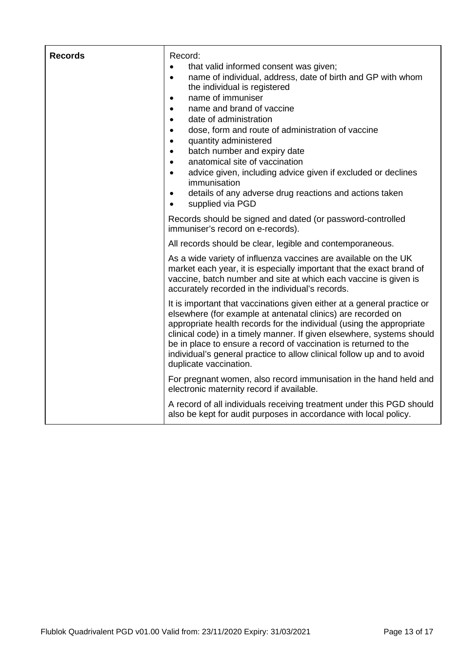| <b>Records</b> | Record:<br>that valid informed consent was given;<br>$\bullet$<br>name of individual, address, date of birth and GP with whom<br>$\bullet$<br>the individual is registered<br>name of immuniser<br>$\bullet$<br>name and brand of vaccine<br>$\bullet$<br>date of administration<br>$\bullet$<br>dose, form and route of administration of vaccine<br>$\bullet$<br>quantity administered<br>$\bullet$<br>batch number and expiry date<br>$\bullet$<br>anatomical site of vaccination<br>$\bullet$<br>advice given, including advice given if excluded or declines<br>$\bullet$<br>immunisation<br>details of any adverse drug reactions and actions taken<br>$\bullet$<br>supplied via PGD<br>$\bullet$ |
|----------------|---------------------------------------------------------------------------------------------------------------------------------------------------------------------------------------------------------------------------------------------------------------------------------------------------------------------------------------------------------------------------------------------------------------------------------------------------------------------------------------------------------------------------------------------------------------------------------------------------------------------------------------------------------------------------------------------------------|
|                | Records should be signed and dated (or password-controlled<br>immuniser's record on e-records).                                                                                                                                                                                                                                                                                                                                                                                                                                                                                                                                                                                                         |
|                | All records should be clear, legible and contemporaneous.                                                                                                                                                                                                                                                                                                                                                                                                                                                                                                                                                                                                                                               |
|                | As a wide variety of influenza vaccines are available on the UK<br>market each year, it is especially important that the exact brand of<br>vaccine, batch number and site at which each vaccine is given is<br>accurately recorded in the individual's records.                                                                                                                                                                                                                                                                                                                                                                                                                                         |
|                | It is important that vaccinations given either at a general practice or<br>elsewhere (for example at antenatal clinics) are recorded on<br>appropriate health records for the individual (using the appropriate<br>clinical code) in a timely manner. If given elsewhere, systems should<br>be in place to ensure a record of vaccination is returned to the<br>individual's general practice to allow clinical follow up and to avoid<br>duplicate vaccination.                                                                                                                                                                                                                                        |
|                | For pregnant women, also record immunisation in the hand held and<br>electronic maternity record if available.                                                                                                                                                                                                                                                                                                                                                                                                                                                                                                                                                                                          |
|                | A record of all individuals receiving treatment under this PGD should<br>also be kept for audit purposes in accordance with local policy.                                                                                                                                                                                                                                                                                                                                                                                                                                                                                                                                                               |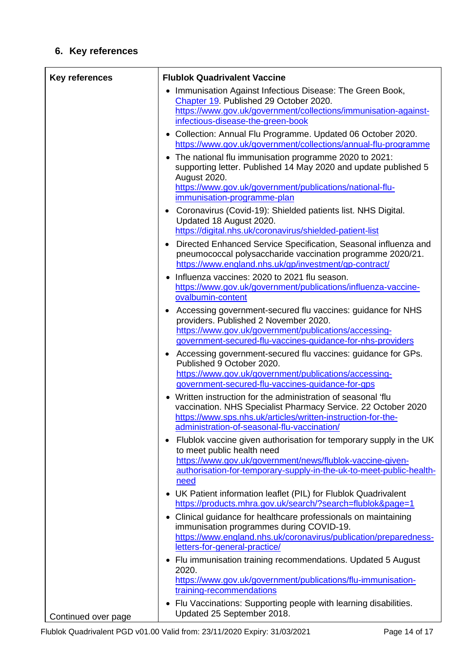# **6. Key references**

| <b>Key references</b> | <b>Flublok Quadrivalent Vaccine</b>                                                                                                                                                                                                              |
|-----------------------|--------------------------------------------------------------------------------------------------------------------------------------------------------------------------------------------------------------------------------------------------|
|                       | Immunisation Against Infectious Disease: The Green Book,<br>٠<br>Chapter 19. Published 29 October 2020.<br>https://www.gov.uk/government/collections/immunisation-against-<br>infectious-disease-the-green-book                                  |
|                       | • Collection: Annual Flu Programme. Updated 06 October 2020.<br>https://www.gov.uk/government/collections/annual-flu-programme                                                                                                                   |
|                       | The national flu immunisation programme 2020 to 2021:<br>$\bullet$<br>supporting letter. Published 14 May 2020 and update published 5<br>August 2020.<br>https://www.gov.uk/government/publications/national-flu-<br>immunisation-programme-plan |
|                       | Coronavirus (Covid-19): Shielded patients list. NHS Digital.<br>Updated 18 August 2020.<br>https://digital.nhs.uk/coronavirus/shielded-patient-list                                                                                              |
|                       | Directed Enhanced Service Specification, Seasonal influenza and<br>pneumococcal polysaccharide vaccination programme 2020/21.<br>https://www.england.nhs.uk/gp/investment/gp-contract/                                                           |
|                       | Influenza vaccines: 2020 to 2021 flu season.<br>https://www.gov.uk/government/publications/influenza-vaccine-<br>ovalbumin-content                                                                                                               |
|                       | Accessing government-secured flu vaccines: guidance for NHS<br>providers. Published 2 November 2020.<br>https://www.gov.uk/government/publications/accessing-<br>government-secured-flu-vaccines-guidance-for-nhs-providers                      |
|                       | Accessing government-secured flu vaccines: guidance for GPs.<br>$\bullet$<br>Published 9 October 2020.<br>https://www.gov.uk/government/publications/accessing-<br>government-secured-flu-vaccines-guidance-for-gps                              |
|                       | Written instruction for the administration of seasonal 'flu<br>vaccination. NHS Specialist Pharmacy Service. 22 October 2020<br>https://www.sps.nhs.uk/articles/written-instruction-for-the-<br>administration-of-seasonal-flu-vaccination/      |
|                       | Flublok vaccine given authorisation for temporary supply in the UK<br>to meet public health need<br>https://www.gov.uk/government/news/flublok-vaccine-given-<br>authorisation-for-temporary-supply-in-the-uk-to-meet-public-health-<br>need     |
|                       | • UK Patient information leaflet (PIL) for Flublok Quadrivalent<br>https://products.mhra.gov.uk/search/?search=flublok&page=1                                                                                                                    |
|                       | • Clinical guidance for healthcare professionals on maintaining<br>immunisation programmes during COVID-19.<br>https://www.england.nhs.uk/coronavirus/publication/preparedness-<br>letters-for-general-practice/                                 |
|                       | • Flu immunisation training recommendations. Updated 5 August<br>2020.<br>https://www.gov.uk/government/publications/flu-immunisation-<br>training-recommendations                                                                               |
| Continued over page   | • Flu Vaccinations: Supporting people with learning disabilities.<br>Updated 25 September 2018.                                                                                                                                                  |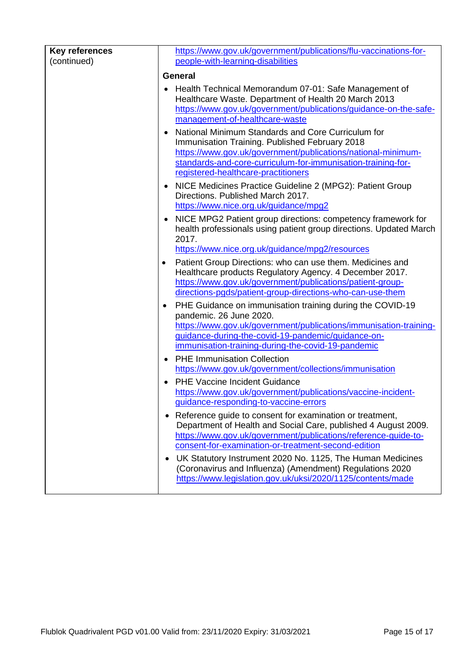| <b>Key references</b> | https://www.gov.uk/government/publications/flu-vaccinations-for-                                                                                                                                                                                                                                                            |  |
|-----------------------|-----------------------------------------------------------------------------------------------------------------------------------------------------------------------------------------------------------------------------------------------------------------------------------------------------------------------------|--|
| (continued)           | people-with-learning-disabilities                                                                                                                                                                                                                                                                                           |  |
|                       | <b>General</b>                                                                                                                                                                                                                                                                                                              |  |
|                       | Health Technical Memorandum 07-01: Safe Management of<br>Healthcare Waste. Department of Health 20 March 2013<br>https://www.gov.uk/government/publications/guidance-on-the-safe-<br>management-of-healthcare-waste<br>National Minimum Standards and Core Curriculum for<br>Immunisation Training. Published February 2018 |  |
|                       | https://www.gov.uk/government/publications/national-minimum-<br>standards-and-core-curriculum-for-immunisation-training-for-<br>registered-healthcare-practitioners                                                                                                                                                         |  |
|                       | NICE Medicines Practice Guideline 2 (MPG2): Patient Group<br>Directions. Published March 2017.<br>https://www.nice.org.uk/guidance/mpg2                                                                                                                                                                                     |  |
|                       | NICE MPG2 Patient group directions: competency framework for<br>health professionals using patient group directions. Updated March<br>2017.                                                                                                                                                                                 |  |
|                       | https://www.nice.org.uk/guidance/mpg2/resources                                                                                                                                                                                                                                                                             |  |
|                       | Patient Group Directions: who can use them. Medicines and<br>$\bullet$<br>Healthcare products Regulatory Agency. 4 December 2017.<br>https://www.gov.uk/government/publications/patient-group-<br>directions-pgds/patient-group-directions-who-can-use-them                                                                 |  |
|                       | PHE Guidance on immunisation training during the COVID-19<br>pandemic. 26 June 2020.<br>https://www.gov.uk/government/publications/immunisation-training-<br>guidance-during-the-covid-19-pandemic/guidance-on-<br>immunisation-training-during-the-covid-19-pandemic                                                       |  |
|                       | <b>PHE Immunisation Collection</b>                                                                                                                                                                                                                                                                                          |  |
|                       | https://www.gov.uk/government/collections/immunisation                                                                                                                                                                                                                                                                      |  |
|                       | PHE Vaccine Incident Guidance<br>https://www.gov.uk/government/publications/vaccine-incident-<br>guidance-responding-to-vaccine-errors                                                                                                                                                                                      |  |
|                       | • Reference guide to consent for examination or treatment,<br>Department of Health and Social Care, published 4 August 2009.<br>https://www.gov.uk/government/publications/reference-guide-to-<br>consent-for-examination-or-treatment-second-edition                                                                       |  |
|                       | UK Statutory Instrument 2020 No. 1125, The Human Medicines<br>(Coronavirus and Influenza) (Amendment) Regulations 2020<br>https://www.legislation.gov.uk/uksi/2020/1125/contents/made                                                                                                                                       |  |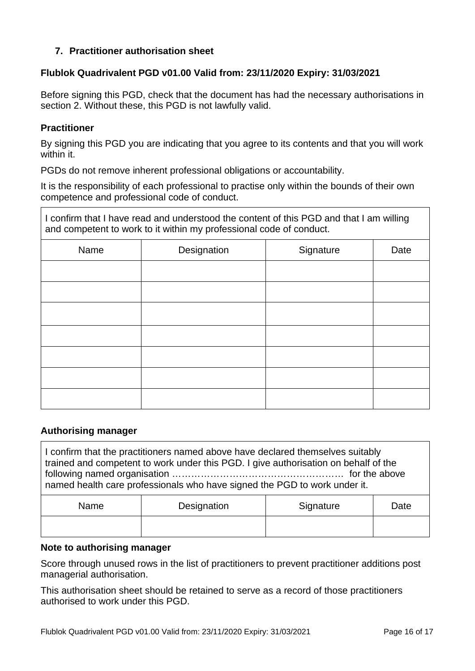### **7. Practitioner authorisation sheet**

#### **Flublok Quadrivalent PGD v01.00 Valid from: 23/11/2020 Expiry: 31/03/2021**

Before signing this PGD, check that the document has had the necessary authorisations in section 2. Without these, this PGD is not lawfully valid.

#### **Practitioner**

By signing this PGD you are indicating that you agree to its contents and that you will work within it.

PGDs do not remove inherent professional obligations or accountability.

It is the responsibility of each professional to practise only within the bounds of their own competence and professional code of conduct.

I confirm that I have read and understood the content of this PGD and that I am willing and competent to work to it within my professional code of conduct.

| Name | Designation | Signature | Date |
|------|-------------|-----------|------|
|      |             |           |      |
|      |             |           |      |
|      |             |           |      |
|      |             |           |      |
|      |             |           |      |
|      |             |           |      |
|      |             |           |      |

#### **Authorising manager**

I confirm that the practitioners named above have declared themselves suitably trained and competent to work under this PGD. I give authorisation on behalf of the following named organisation ……………………………………………… for the above named health care professionals who have signed the PGD to work under it. Name | Designation | Signature | Date

#### **Note to authorising manager**

Score through unused rows in the list of practitioners to prevent practitioner additions post managerial authorisation.

This authorisation sheet should be retained to serve as a record of those practitioners authorised to work under this PGD.